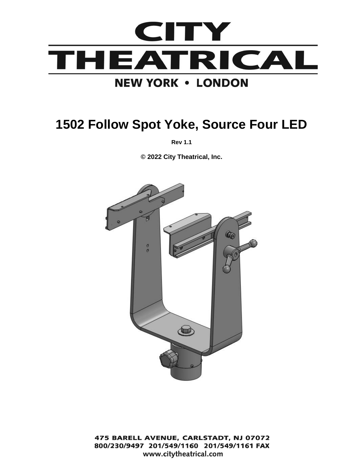

# **1502 Follow Spot Yoke, Source Four LED**

**Rev 1.1**

**© 2022 City Theatrical, Inc.**



475 BARELL AVENUE, CARLSTADT, NJ 07072 800/230/9497 201/549/1160 201/549/1161 FAX www.citytheatrical.com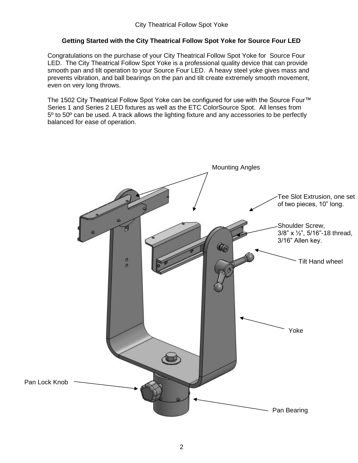## **Getting Started with the City Theatrical Follow Spot Yoke for Source Four LED**

Congratulations on the purchase of your City Theatrical Follow Spot Yoke for Source Four LED. The City Theatrical Follow Spot Yoke is a professional quality device that can provide smooth pan and tilt operation to your Source Four LED. A heavy steel yoke gives mass and prevents vibration, and ball bearings on the pan and tilt create extremely smooth movement, even on very long throws.

The 1502 City Theatrical Follow Spot Yoke can be configured for use with the Source Four™ Series 1 and Series 2 LED fixtures as well as the ETC ColorSource Spot. All lenses from 5<sup>o</sup> to 50<sup>o</sup> can be used. A track allows the lighting fixture and any accessories to be perfectly balanced for ease of operation.

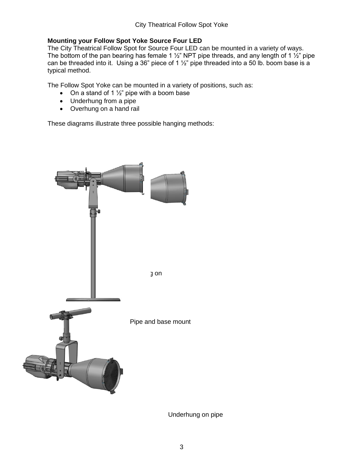## **Mounting your Follow Spot Yoke Source Four LED**

The City Theatrical Follow Spot for Source Four LED can be mounted in a variety of ways. The bottom of the pan bearing has female 1  $\frac{1}{2}$ " NPT pipe threads, and any length of 1  $\frac{1}{2}$ " pipe can be threaded into it. Using a 36" piece of 1  $\frac{1}{2}$ " pipe threaded into a 50 lb. boom base is a typical method.

The Follow Spot Yoke can be mounted in a variety of positions, such as:

- On a stand of 1  $\frac{1}{2}$ " pipe with a boom base
- Underhung from a pipe
- Overhung on a hand rail

These diagrams illustrate three possible hanging methods:



Underhung on pipe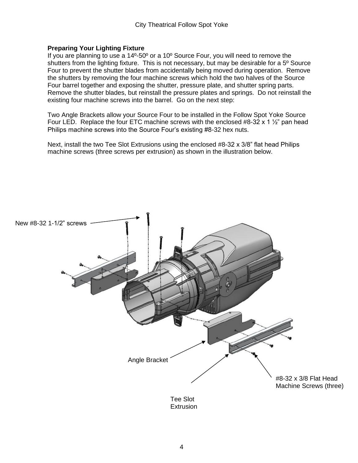#### **Preparing Your Lighting Fixture**

If you are planning to use a 14º-50º or a 10º Source Four, you will need to remove the shutters from the lighting fixture. This is not necessary, but may be desirable for a 5º Source Four to prevent the shutter blades from accidentally being moved during operation. Remove the shutters by removing the four machine screws which hold the two halves of the Source Four barrel together and exposing the shutter, pressure plate, and shutter spring parts. Remove the shutter blades, but reinstall the pressure plates and springs. Do not reinstall the existing four machine screws into the barrel. Go on the next step:

Two Angle Brackets allow your Source Four to be installed in the Follow Spot Yoke Source Four LED. Replace the four ETC machine screws with the enclosed #8-32 x 1  $\frac{1}{2}$ " pan head Philips machine screws into the Source Four's existing #8-32 hex nuts.

Next, install the two Tee Slot Extrusions using the enclosed #8-32 x 3/8" flat head Philips machine screws (three screws per extrusion) as shown in the illustration below.



**Extrusion**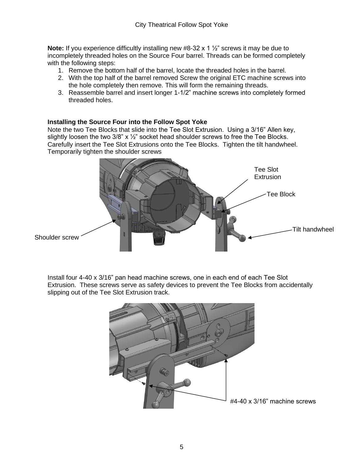**Note:** If you experience difficultly installing new #8-32 x 1 ½" screws it may be due to incompletely threaded holes on the Source Four barrel. Threads can be formed completely with the following steps:

- 1. Remove the bottom half of the barrel, locate the threaded holes in the barrel.
- 2. With the top half of the barrel removed Screw the original ETC machine screws into the hole completely then remove. This will form the remaining threads.
- 3. Reassemble barrel and insert longer 1-1/2" machine screws into completely formed threaded holes.

#### **Installing the Source Four into the Follow Spot Yoke**

Note the two Tee Blocks that slide into the Tee Slot Extrusion. Using a 3/16" Allen key, slightly loosen the two  $3/8$ " x  $\frac{1}{2}$ " socket head shoulder screws to free the Tee Blocks. Carefully insert the Tee Slot Extrusions onto the Tee Blocks. Tighten the tilt handwheel. Temporarily tighten the shoulder screws



Install four 4-40 x 3/16" pan head machine screws, one in each end of each Tee Slot Extrusion. These screws serve as safety devices to prevent the Tee Blocks from accidentally slipping out of the Tee Slot Extrusion track.

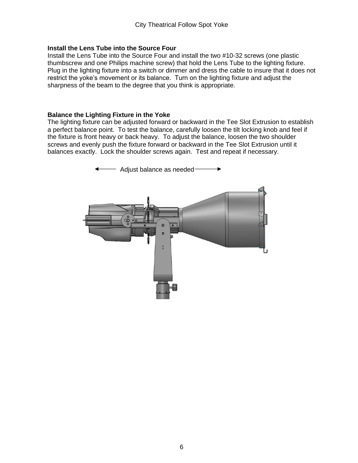#### **Install the Lens Tube into the Source Four**

Install the Lens Tube into the Source Four and install the two #10-32 screws (one plastic thumbscrew and one Philips machine screw) that hold the Lens Tube to the lighting fixture. Plug in the lighting fixture into a switch or dimmer and dress the cable to insure that it does not restrict the yoke's movement or its balance. Turn on the lighting fixture and adjust the sharpness of the beam to the degree that you think is appropriate.

#### **Balance the Lighting Fixture in the Yoke**

The lighting fixture can be adjusted forward or backward in the Tee Slot Extrusion to establish a perfect balance point. To test the balance, carefully loosen the tilt locking knob and feel if the fixture is front heavy or back heavy. To adjust the balance, loosen the two shoulder screws and evenly push the fixture forward or backward in the Tee Slot Extrusion until it balances exactly. Lock the shoulder screws again. Test and repeat if necessary.